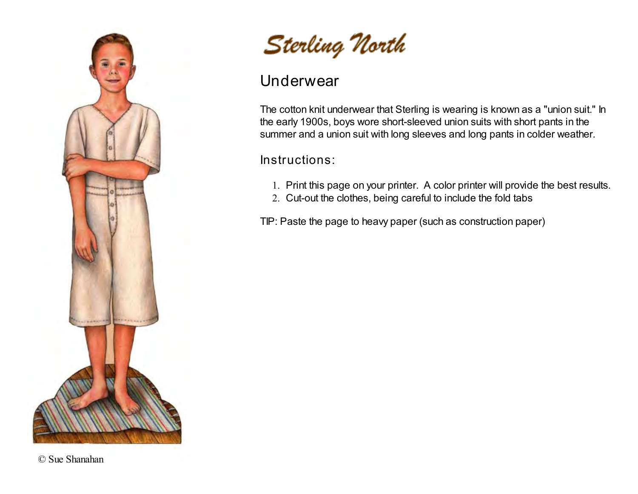

Sterling North

#### Underwear

The cotton knit underwear that Sterling is wearing is known as a "union suit." In the early 1900s, boys wore short-sleeved union suits with short pants in the summer and a union suit with long sleeves and long pants in colder weather.

Instructions:

- 1. Print this page on your printer. A color printer will provide the best results.
- 2. Cut-out the clothes, being careful to include the fold tabs

TIP: Paste the page to heavy paper (such as construction paper)

© Sue Shanahan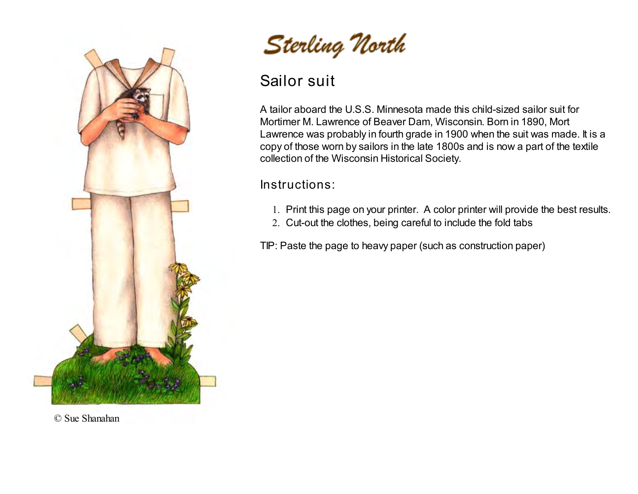

Sterling North

## Sailor suit

A tailor aboard the U.S.S. Minnesota made this child-sized sailor suit for Mortimer M. Lawrence of Beaver Dam, Wisconsin. Born in 1890, Mort Lawrence was probably in fourth grade in 1900 when the suit was made. It is a copy of those worn by sailors in the late 1800s and is now a part of the textile collection of the Wisconsin Historical Society.

#### Instructions:

- 1. Print this page on your printer. A color printer will provide the best results.
- 2. Cut-out the clothes, being careful to include the fold tabs

TIP: Paste the page to heavy paper (such as construction paper)

© Sue Shanahan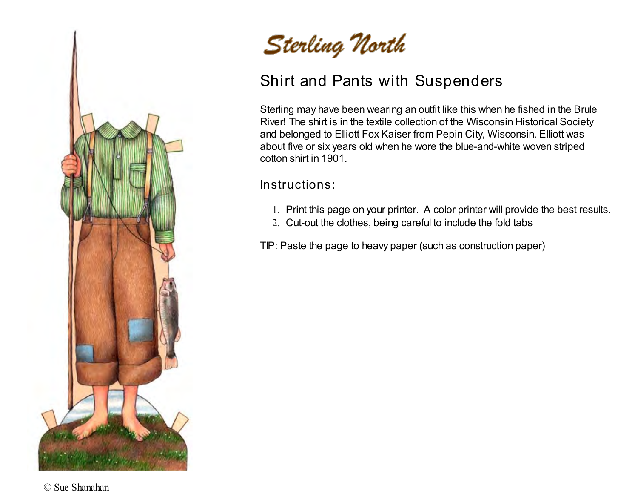



## Shirt and Pants with Suspenders

Sterling may have been wearing an outfit like this when he fished in the Brule River! The shirt is in the textile collection of the Wisconsin Historical Society and belonged to Elliott Fox Kaiser from Pepin City, Wisconsin. Elliott was about five or six years old when he wore the blue-and-white woven striped cotton shirt in 1901.

Instructions:

- 1. Print this page on your printer. A color printer will provide the best results.
- 2. Cut-out the clothes, being careful to include the fold tabs

TIP: Paste the page to heavy paper (such as construction paper)

© Sue Shanahan